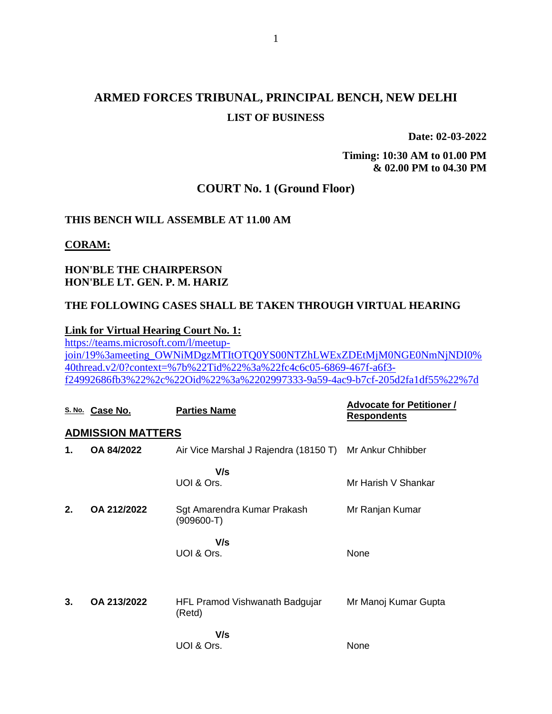# **ARMED FORCES TRIBUNAL, PRINCIPAL BENCH, NEW DELHI LIST OF BUSINESS**

**Date: 02-03-2022**

**Timing: 10:30 AM to 01.00 PM & 02.00 PM to 04.30 PM**

### **COURT No. 1 (Ground Floor)**

## **THIS BENCH WILL ASSEMBLE AT 11.00 AM**

#### **CORAM:**

### **HON'BLE THE CHAIRPERSON HON'BLE LT. GEN. P. M. HARIZ**

#### **THE FOLLOWING CASES SHALL BE TAKEN THROUGH VIRTUAL HEARING**

#### **Link for Virtual Hearing Court No. 1:**

[https://teams.microsoft.com/l/meetup](https://teams.microsoft.com/l/meetup-join/19%3ameeting_OWNiMDgzMTItOTQ0YS00NTZhLWExZDEtMjM0NGE0NmNjNDI0%40thread.v2/0?context=%7b%22Tid%22%3a%22fc4c6c05-6869-467f-a6f3-f24992686fb3%22%2c%22Oid%22%3a%2202997333-9a59-4ac9-b7cf-205d2fa1df55%22%7d)[join/19%3ameeting\\_OWNiMDgzMTItOTQ0YS00NTZhLWExZDEtMjM0NGE0NmNjNDI0%](https://teams.microsoft.com/l/meetup-join/19%3ameeting_OWNiMDgzMTItOTQ0YS00NTZhLWExZDEtMjM0NGE0NmNjNDI0%40thread.v2/0?context=%7b%22Tid%22%3a%22fc4c6c05-6869-467f-a6f3-f24992686fb3%22%2c%22Oid%22%3a%2202997333-9a59-4ac9-b7cf-205d2fa1df55%22%7d) [40thread.v2/0?context=%7b%22Tid%22%3a%22fc4c6c05-6869-467f-a6f3](https://teams.microsoft.com/l/meetup-join/19%3ameeting_OWNiMDgzMTItOTQ0YS00NTZhLWExZDEtMjM0NGE0NmNjNDI0%40thread.v2/0?context=%7b%22Tid%22%3a%22fc4c6c05-6869-467f-a6f3-f24992686fb3%22%2c%22Oid%22%3a%2202997333-9a59-4ac9-b7cf-205d2fa1df55%22%7d) [f24992686fb3%22%2c%22Oid%22%3a%2202997333-9a59-4ac9-b7cf-205d2fa1df55%22%7d](https://teams.microsoft.com/l/meetup-join/19%3ameeting_OWNiMDgzMTItOTQ0YS00NTZhLWExZDEtMjM0NGE0NmNjNDI0%40thread.v2/0?context=%7b%22Tid%22%3a%22fc4c6c05-6869-467f-a6f3-f24992686fb3%22%2c%22Oid%22%3a%2202997333-9a59-4ac9-b7cf-205d2fa1df55%22%7d)

|    | S. No. Case No.          | <b>Parties Name</b>                                     | <b>Advocate for Petitioner /</b><br><b>Respondents</b> |
|----|--------------------------|---------------------------------------------------------|--------------------------------------------------------|
|    | <b>ADMISSION MATTERS</b> |                                                         |                                                        |
| 1. | OA 84/2022               | Air Vice Marshal J Rajendra (18150 T) Mr Ankur Chhibber |                                                        |
|    |                          | V/s<br>UOI & Ors.                                       | Mr Harish V Shankar                                    |
| 2. | OA 212/2022              | Sgt Amarendra Kumar Prakash<br>(909600-T)               | Mr Ranjan Kumar                                        |
|    |                          | V/s<br>UOI & Ors.                                       | None                                                   |
| 3. | OA 213/2022              | HFL Pramod Vishwanath Badgujar<br>(Retd)                | Mr Manoj Kumar Gupta                                   |
|    |                          | V/s<br>UOI & Ors.                                       | None                                                   |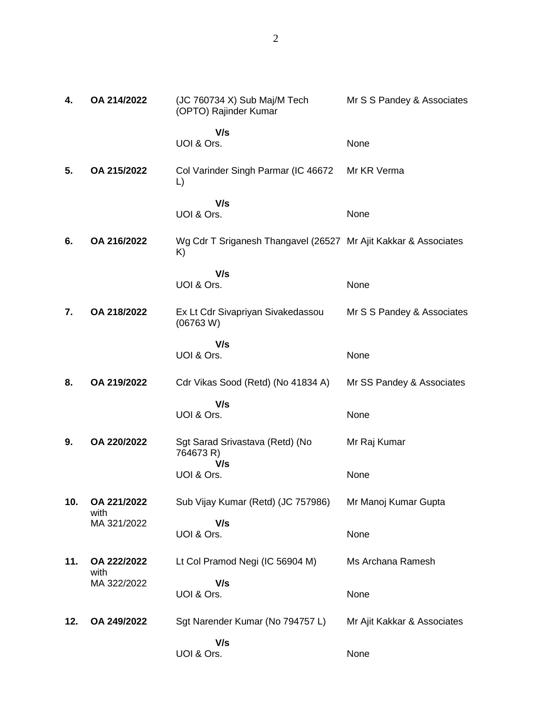| 4.  | OA 214/2022         | (JC 760734 X) Sub Maj/M Tech<br>(OPTO) Rajinder Kumar                 | Mr S S Pandey & Associates  |
|-----|---------------------|-----------------------------------------------------------------------|-----------------------------|
|     |                     | V/s<br>UOI & Ors.                                                     | None                        |
| 5.  | OA 215/2022         | Col Varinder Singh Parmar (IC 46672<br>L)                             | Mr KR Verma                 |
|     |                     | V/s<br>UOI & Ors.                                                     | None                        |
| 6.  | OA 216/2022         | Wg Cdr T Sriganesh Thangavel (26527 Mr Ajit Kakkar & Associates<br>K) |                             |
|     |                     | V/s<br>UOI & Ors.                                                     | None                        |
| 7.  | OA 218/2022         | Ex Lt Cdr Sivapriyan Sivakedassou<br>(06763 W)                        | Mr S S Pandey & Associates  |
|     |                     | V/s<br>UOI & Ors.                                                     | None                        |
| 8.  | OA 219/2022         | Cdr Vikas Sood (Retd) (No 41834 A)                                    | Mr SS Pandey & Associates   |
|     |                     | V/s<br>UOI & Ors.                                                     | None                        |
| 9.  | OA 220/2022         | Sgt Sarad Srivastava (Retd) (No<br>764673 R)                          | Mr Raj Kumar                |
|     |                     | V/s<br>UOI & Ors.                                                     | None                        |
| 10. | OA 221/2022<br>with | Sub Vijay Kumar (Retd) (JC 757986)                                    | Mr Manoj Kumar Gupta        |
|     | MA 321/2022         | V/s<br>UOI & Ors.                                                     | None                        |
| 11. | OA 222/2022<br>with | Lt Col Pramod Negi (IC 56904 M)                                       | Ms Archana Ramesh           |
|     | MA 322/2022         | V/s<br>UOI & Ors.                                                     | None                        |
| 12. | OA 249/2022         | Sgt Narender Kumar (No 794757 L)                                      | Mr Ajit Kakkar & Associates |
|     |                     | V/s<br>UOI & Ors.                                                     | None                        |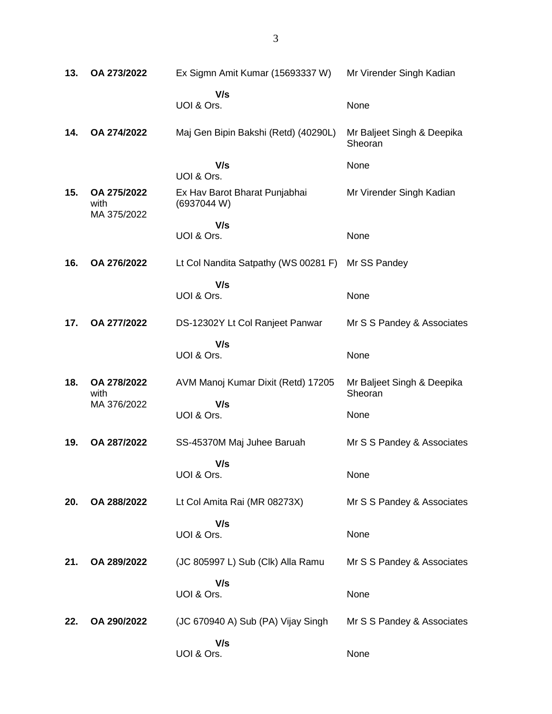| 13. | OA 273/2022                        | Ex Sigmn Amit Kumar (15693337 W)             | Mr Virender Singh Kadian              |
|-----|------------------------------------|----------------------------------------------|---------------------------------------|
|     |                                    | V/s<br>UOI & Ors.                            | None                                  |
| 14. | OA 274/2022                        | Maj Gen Bipin Bakshi (Retd) (40290L)         | Mr Baljeet Singh & Deepika<br>Sheoran |
|     |                                    | V/s<br>UOI & Ors.                            | None                                  |
| 15. | OA 275/2022<br>with<br>MA 375/2022 | Ex Hav Barot Bharat Punjabhai<br>(6937044 W) | Mr Virender Singh Kadian              |
|     |                                    | V/s<br>UOI & Ors.                            | None                                  |
| 16. | OA 276/2022                        | Lt Col Nandita Satpathy (WS 00281 F)         | Mr SS Pandey                          |
|     |                                    | V/s<br>UOI & Ors.                            | None                                  |
| 17. | OA 277/2022                        | DS-12302Y Lt Col Ranjeet Panwar              | Mr S S Pandey & Associates            |
|     |                                    | V/s<br>UOI & Ors.                            | None                                  |
| 18. | OA 278/2022<br>with                | AVM Manoj Kumar Dixit (Retd) 17205           | Mr Baljeet Singh & Deepika<br>Sheoran |
|     | MA 376/2022                        | V/s<br>UOI & Ors.                            | None                                  |
| 19. | OA 287/2022                        | SS-45370M Maj Juhee Baruah                   | Mr S S Pandey & Associates            |
|     |                                    | V/s<br>UOI & Ors.                            | None                                  |
| 20. | OA 288/2022                        | Lt Col Amita Rai (MR 08273X)                 | Mr S S Pandey & Associates            |
|     |                                    | V/s<br>UOI & Ors.                            | None                                  |
| 21. | OA 289/2022                        | (JC 805997 L) Sub (Clk) Alla Ramu            | Mr S S Pandey & Associates            |
|     |                                    | V/s<br>UOI & Ors.                            | None                                  |
| 22. | OA 290/2022                        | (JC 670940 A) Sub (PA) Vijay Singh           | Mr S S Pandey & Associates            |
|     |                                    | V/s<br>UOI & Ors.                            | None                                  |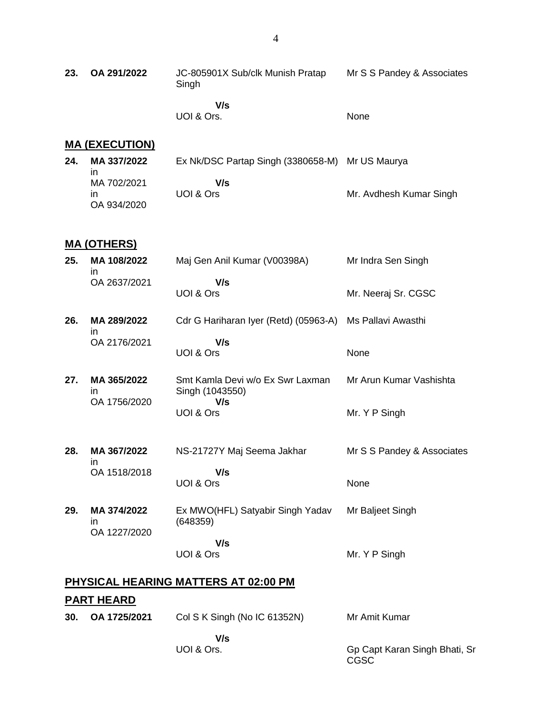**23. OA 291/2022** JC-805901X Sub/clk Munish Pratap Singh  **V/s** Mr S S Pandey & Associates

UOI & Ors.

#### None

# **MA (EXECUTION)**

| 24. | MA 337/2022 | Ex Nk/DSC Partap Singh (3380658-M) Mr US Maurya |                         |
|-----|-------------|-------------------------------------------------|-------------------------|
|     | ın          |                                                 |                         |
|     | MA 702/2021 | V/s                                             |                         |
|     | ın          | UOI & Ors                                       | Mr. Avdhesh Kumar Singh |
|     | OA 934/2020 |                                                 |                         |

### **MA (OTHERS)**

| 25. | MA 108/2022<br><i>in</i> | Maj Gen Anil Kumar (V00398A)                             | Mr Indra Sen Singh         |
|-----|--------------------------|----------------------------------------------------------|----------------------------|
|     | OA 2637/2021             | V/s<br>UOI & Ors                                         | Mr. Neeraj Sr. CGSC        |
| 26. | MA 289/2022<br><i>in</i> | Cdr G Hariharan Iyer (Retd) (05963-A) Ms Pallavi Awasthi |                            |
|     | OA 2176/2021             | V/s<br>UOI & Ors                                         | None                       |
| 27. | MA 365/2022<br>in        | Smt Kamla Devi w/o Ex Swr Laxman<br>Singh (1043550)      | Mr Arun Kumar Vashishta    |
|     | OA 1756/2020             | V/s<br>UOI & Ors                                         | Mr. Y P Singh              |
| 28. | MA 367/2022<br>in        | NS-21727Y Maj Seema Jakhar                               | Mr S S Pandey & Associates |
|     | OA 1518/2018             | V/s<br>UOI & Ors                                         | None                       |
| 29. | MA 374/2022<br>in.       | Ex MWO(HFL) Satyabir Singh Yadav<br>(648359)             | Mr Baljeet Singh           |
|     | OA 1227/2020             | V/s<br>UOI & Ors                                         | Mr. Y P Singh              |
|     |                          |                                                          |                            |

# **PHYSICAL HEARING MATTERS AT 02:00 PM**

# **PART HEARD**

| 30. | OA 1725/2021 | Col S K Singh (No IC 61352N) | Mr Amit Kumar                         |
|-----|--------------|------------------------------|---------------------------------------|
|     |              | V/s                          |                                       |
|     |              | UOI & Ors.                   | Gp Capt Karan Singh Bhati, Sr<br>CGSC |